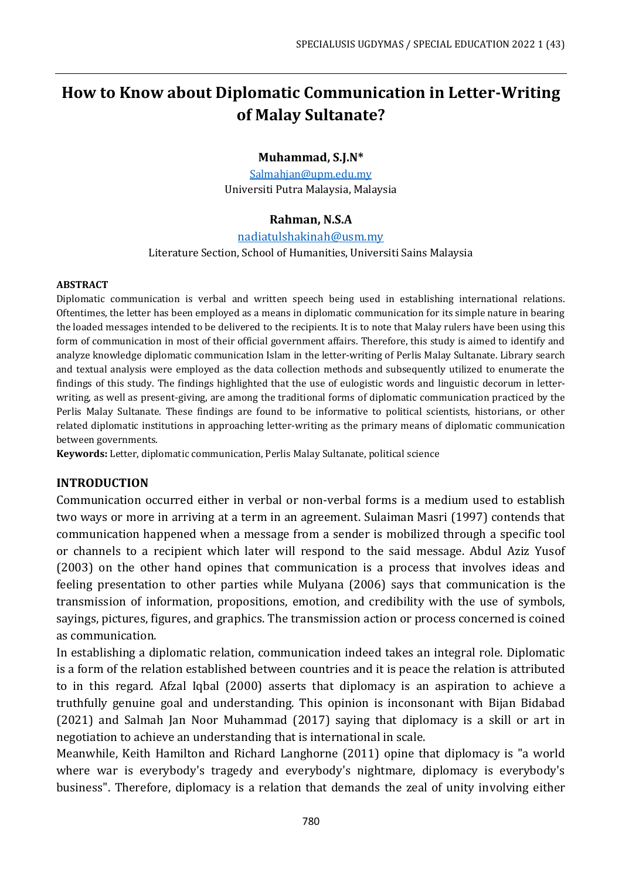# **How to Know about Diplomatic Communication in Letter-Writing of Malay Sultanate?**

#### **Muhammad, S.J.N\***

[Salmahjan@upm.edu.my](mailto:Salmahjan@upm.edu.my) Universiti Putra Malaysia, Malaysia

## **Rahman, N.S.A**

[nadiatulshakinah@usm.my](mailto:nadiatulshakinah@usm.my)

Literature Section, School of Humanities, Universiti Sains Malaysia

#### **ABSTRACT**

Diplomatic communication is verbal and written speech being used in establishing international relations. Oftentimes, the letter has been employed as a means in diplomatic communication for its simple nature in bearing the loaded messages intended to be delivered to the recipients. It is to note that Malay rulers have been using this form of communication in most of their official government affairs. Therefore, this study is aimed to identify and analyze knowledge diplomatic communication Islam in the letter-writing of Perlis Malay Sultanate. Library search and textual analysis were employed as the data collection methods and subsequently utilized to enumerate the findings of this study. The findings highlighted that the use of eulogistic words and linguistic decorum in letterwriting, as well as present-giving, are among the traditional forms of diplomatic communication practiced by the Perlis Malay Sultanate. These findings are found to be informative to political scientists, historians, or other related diplomatic institutions in approaching letter-writing as the primary means of diplomatic communication between governments.

**Keywords:** Letter, diplomatic communication, Perlis Malay Sultanate, political science

#### **INTRODUCTION**

Communication occurred either in verbal or non-verbal forms is a medium used to establish two ways or more in arriving at a term in an agreement. Sulaiman Masri (1997) contends that communication happened when a message from a sender is mobilized through a specific tool or channels to a recipient which later will respond to the said message. Abdul Aziz Yusof (2003) on the other hand opines that communication is a process that involves ideas and feeling presentation to other parties while Mulyana (2006) says that communication is the transmission of information, propositions, emotion, and credibility with the use of symbols, sayings, pictures, figures, and graphics. The transmission action or process concerned is coined as communication.

In establishing a diplomatic relation, communication indeed takes an integral role. Diplomatic is a form of the relation established between countries and it is peace the relation is attributed to in this regard. Afzal Iqbal (2000) asserts that diplomacy is an aspiration to achieve a truthfully genuine goal and understanding. This opinion is inconsonant with Bijan Bidabad (2021) and Salmah Jan Noor Muhammad (2017) saying that diplomacy is a skill or art in negotiation to achieve an understanding that is international in scale.

Meanwhile, Keith Hamilton and Richard Langhorne (2011) opine that diplomacy is "a world where war is everybody's tragedy and everybody's nightmare, diplomacy is everybody's business". Therefore, diplomacy is a relation that demands the zeal of unity involving either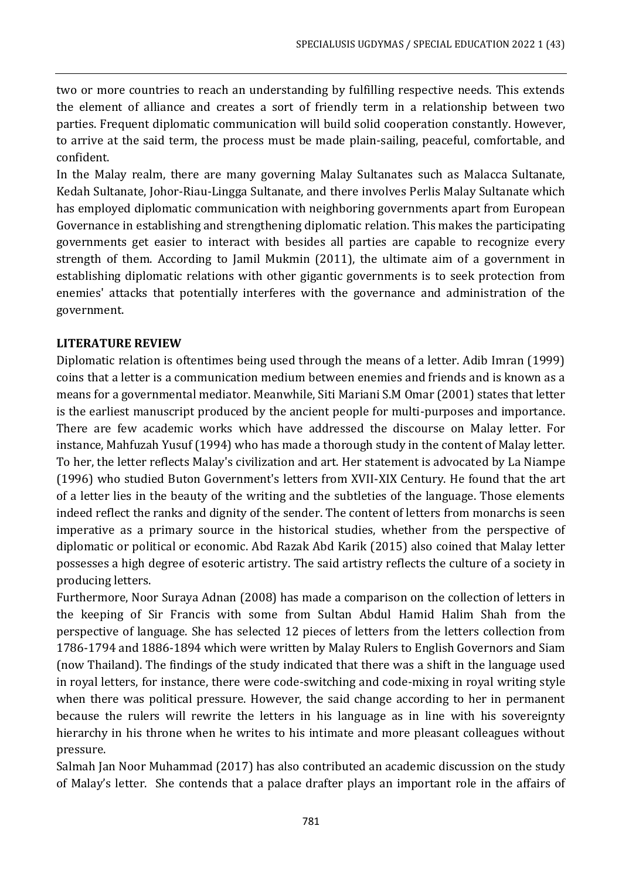two or more countries to reach an understanding by fulfilling respective needs. This extends the element of alliance and creates a sort of friendly term in a relationship between two parties. Frequent diplomatic communication will build solid cooperation constantly. However, to arrive at the said term, the process must be made plain-sailing, peaceful, comfortable, and confident.

In the Malay realm, there are many governing Malay Sultanates such as Malacca Sultanate, Kedah Sultanate, Johor-Riau-Lingga Sultanate, and there involves Perlis Malay Sultanate which has employed diplomatic communication with neighboring governments apart from European Governance in establishing and strengthening diplomatic relation. This makes the participating governments get easier to interact with besides all parties are capable to recognize every strength of them. According to Jamil Mukmin (2011), the ultimate aim of a government in establishing diplomatic relations with other gigantic governments is to seek protection from enemies' attacks that potentially interferes with the governance and administration of the government.

# **LITERATURE REVIEW**

Diplomatic relation is oftentimes being used through the means of a letter. Adib Imran (1999) coins that a letter is a communication medium between enemies and friends and is known as a means for a governmental mediator. Meanwhile, Siti Mariani S.M Omar (2001) states that letter is the earliest manuscript produced by the ancient people for multi-purposes and importance. There are few academic works which have addressed the discourse on Malay letter. For instance, Mahfuzah Yusuf (1994) who has made a thorough study in the content of Malay letter. To her, the letter reflects Malay's civilization and art. Her statement is advocated by La Niampe (1996) who studied Buton Government's letters from XVII-XIX Century. He found that the art of a letter lies in the beauty of the writing and the subtleties of the language. Those elements indeed reflect the ranks and dignity of the sender. The content of letters from monarchs is seen imperative as a primary source in the historical studies, whether from the perspective of diplomatic or political or economic. Abd Razak Abd Karik (2015) also coined that Malay letter possesses a high degree of esoteric artistry. The said artistry reflects the culture of a society in producing letters.

Furthermore, Noor Suraya Adnan (2008) has made a comparison on the collection of letters in the keeping of Sir Francis with some from Sultan Abdul Hamid Halim Shah from the perspective of language. She has selected 12 pieces of letters from the letters collection from 1786-1794 and 1886-1894 which were written by Malay Rulers to English Governors and Siam (now Thailand). The findings of the study indicated that there was a shift in the language used in royal letters, for instance, there were code-switching and code-mixing in royal writing style when there was political pressure. However, the said change according to her in permanent because the rulers will rewrite the letters in his language as in line with his sovereignty hierarchy in his throne when he writes to his intimate and more pleasant colleagues without pressure.

Salmah Jan Noor Muhammad (2017) has also contributed an academic discussion on the study of Malay's letter. She contends that a palace drafter plays an important role in the affairs of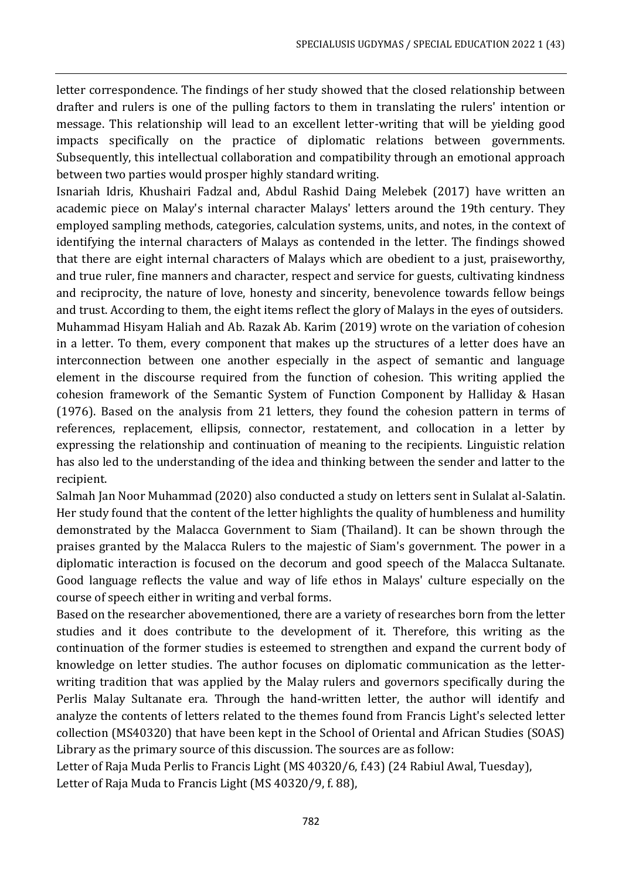letter correspondence. The findings of her study showed that the closed relationship between drafter and rulers is one of the pulling factors to them in translating the rulers' intention or message. This relationship will lead to an excellent letter-writing that will be yielding good impacts specifically on the practice of diplomatic relations between governments. Subsequently, this intellectual collaboration and compatibility through an emotional approach between two parties would prosper highly standard writing.

Isnariah Idris, Khushairi Fadzal and, Abdul Rashid Daing Melebek (2017) have written an academic piece on Malay's internal character Malays' letters around the 19th century. They employed sampling methods, categories, calculation systems, units, and notes, in the context of identifying the internal characters of Malays as contended in the letter. The findings showed that there are eight internal characters of Malays which are obedient to a just, praiseworthy, and true ruler, fine manners and character, respect and service for guests, cultivating kindness and reciprocity, the nature of love, honesty and sincerity, benevolence towards fellow beings and trust. According to them, the eight items reflect the glory of Malays in the eyes of outsiders. Muhammad Hisyam Haliah and Ab. Razak Ab. Karim (2019) wrote on the variation of cohesion in a letter. To them, every component that makes up the structures of a letter does have an interconnection between one another especially in the aspect of semantic and language element in the discourse required from the function of cohesion. This writing applied the cohesion framework of the Semantic System of Function Component by Halliday & Hasan (1976). Based on the analysis from 21 letters, they found the cohesion pattern in terms of references, replacement, ellipsis, connector, restatement, and collocation in a letter by expressing the relationship and continuation of meaning to the recipients. Linguistic relation has also led to the understanding of the idea and thinking between the sender and latter to the recipient.

Salmah Jan Noor Muhammad (2020) also conducted a study on letters sent in Sulalat al-Salatin. Her study found that the content of the letter highlights the quality of humbleness and humility demonstrated by the Malacca Government to Siam (Thailand). It can be shown through the praises granted by the Malacca Rulers to the majestic of Siam's government. The power in a diplomatic interaction is focused on the decorum and good speech of the Malacca Sultanate. Good language reflects the value and way of life ethos in Malays' culture especially on the course of speech either in writing and verbal forms.

Based on the researcher abovementioned, there are a variety of researches born from the letter studies and it does contribute to the development of it. Therefore, this writing as the continuation of the former studies is esteemed to strengthen and expand the current body of knowledge on letter studies. The author focuses on diplomatic communication as the letterwriting tradition that was applied by the Malay rulers and governors specifically during the Perlis Malay Sultanate era. Through the hand-written letter, the author will identify and analyze the contents of letters related to the themes found from Francis Light's selected letter collection (MS40320) that have been kept in the School of Oriental and African Studies (SOAS) Library as the primary source of this discussion. The sources are as follow:

Letter of Raja Muda Perlis to Francis Light (MS 40320/6, f.43) (24 Rabiul Awal, Tuesday), Letter of Raja Muda to Francis Light (MS 40320/9, f. 88),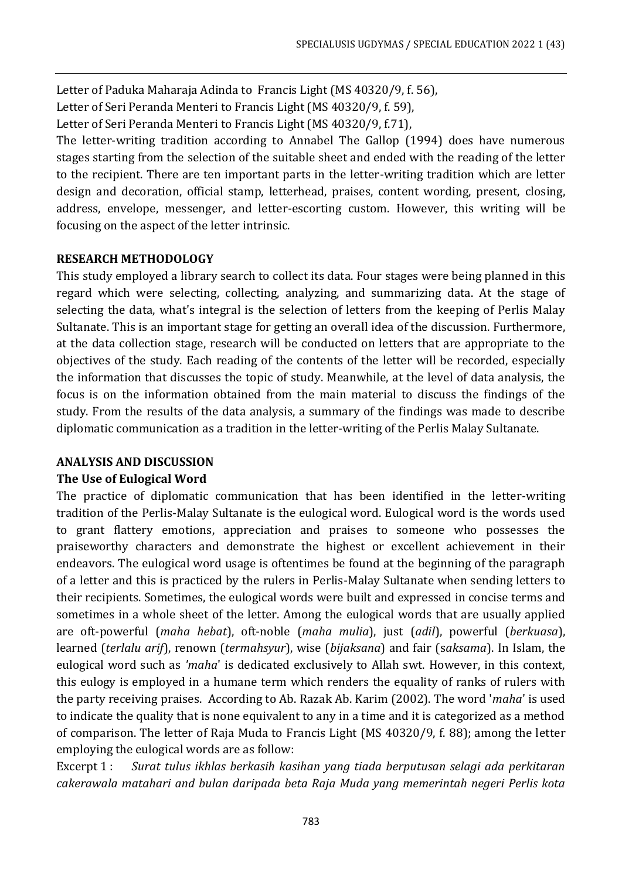Letter of Paduka Maharaja Adinda to Francis Light (MS 40320/9, f. 56),

Letter of Seri Peranda Menteri to Francis Light (MS 40320/9, f. 59),

Letter of Seri Peranda Menteri to Francis Light (MS 40320/9, f.71),

The letter-writing tradition according to Annabel The Gallop (1994) does have numerous stages starting from the selection of the suitable sheet and ended with the reading of the letter to the recipient. There are ten important parts in the letter-writing tradition which are letter design and decoration, official stamp, letterhead, praises, content wording, present, closing, address, envelope, messenger, and letter-escorting custom. However, this writing will be focusing on the aspect of the letter intrinsic.

# **RESEARCH METHODOLOGY**

This study employed a library search to collect its data. Four stages were being planned in this regard which were selecting, collecting, analyzing, and summarizing data. At the stage of selecting the data, what's integral is the selection of letters from the keeping of Perlis Malay Sultanate. This is an important stage for getting an overall idea of the discussion. Furthermore, at the data collection stage, research will be conducted on letters that are appropriate to the objectives of the study. Each reading of the contents of the letter will be recorded, especially the information that discusses the topic of study. Meanwhile, at the level of data analysis, the focus is on the information obtained from the main material to discuss the findings of the study. From the results of the data analysis, a summary of the findings was made to describe diplomatic communication as a tradition in the letter-writing of the Perlis Malay Sultanate.

# **ANALYSIS AND DISCUSSION**

# **The Use of Eulogical Word**

The practice of diplomatic communication that has been identified in the letter-writing tradition of the Perlis-Malay Sultanate is the eulogical word. Eulogical word is the words used to grant flattery emotions, appreciation and praises to someone who possesses the praiseworthy characters and demonstrate the highest or excellent achievement in their endeavors. The eulogical word usage is oftentimes be found at the beginning of the paragraph of a letter and this is practiced by the rulers in Perlis-Malay Sultanate when sending letters to their recipients. Sometimes, the eulogical words were built and expressed in concise terms and sometimes in a whole sheet of the letter. Among the eulogical words that are usually applied are oft-powerful (*maha hebat*), oft-noble (*maha mulia*), just (*adil*), powerful (*berkuasa*), learned (*terlalu arif*), renown (*termahsyur*), wise (*bijaksana*) and fair (s*aksama*). In Islam, the eulogical word such as *'maha*' is dedicated exclusively to Allah swt. However, in this context, this eulogy is employed in a humane term which renders the equality of ranks of rulers with the party receiving praises. According to Ab. Razak Ab. Karim (2002). The word '*maha*' is used to indicate the quality that is none equivalent to any in a time and it is categorized as a method of comparison. The letter of Raja Muda to Francis Light (MS 40320/9, f. 88); among the letter employing the eulogical words are as follow:

Excerpt 1 : *Surat tulus ikhlas berkasih kasihan yang tiada berputusan selagi ada perkitaran cakerawala matahari and bulan daripada beta Raja Muda yang memerintah negeri Perlis kota*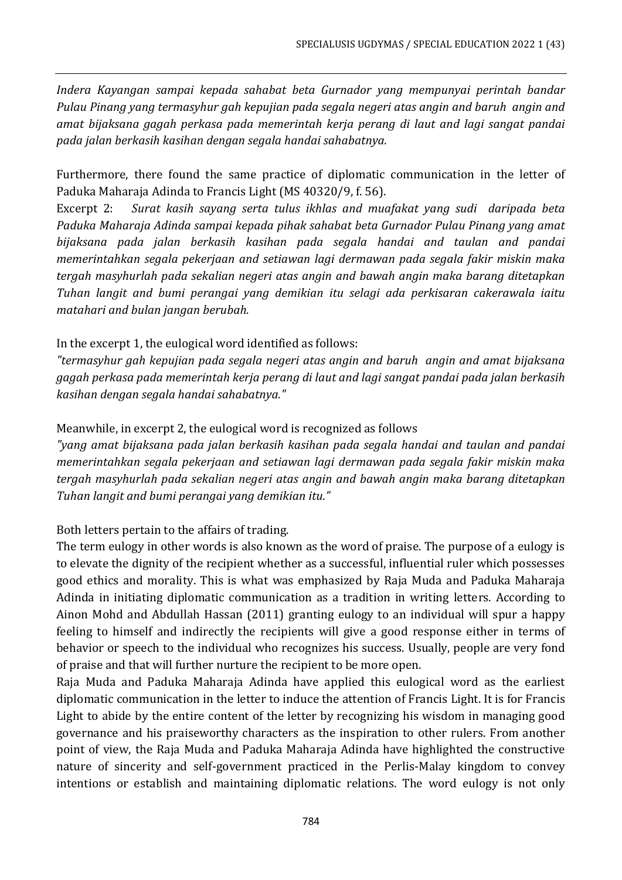*Indera Kayangan sampai kepada sahabat beta Gurnador yang mempunyai perintah bandar Pulau Pinang yang termasyhur gah kepujian pada segala negeri atas angin and baruh angin and amat bijaksana gagah perkasa pada memerintah kerja perang di laut and lagi sangat pandai pada jalan berkasih kasihan dengan segala handai sahabatnya.*

Furthermore, there found the same practice of diplomatic communication in the letter of Paduka Maharaja Adinda to Francis Light (MS 40320/9, f. 56).

Excerpt 2: *Surat kasih sayang serta tulus ikhlas and muafakat yang sudi daripada beta Paduka Maharaja Adinda sampai kepada pihak sahabat beta Gurnador Pulau Pinang yang amat bijaksana pada jalan berkasih kasihan pada segala handai and taulan and pandai memerintahkan segala pekerjaan and setiawan lagi dermawan pada segala fakir miskin maka tergah masyhurlah pada sekalian negeri atas angin and bawah angin maka barang ditetapkan Tuhan langit and bumi perangai yang demikian itu selagi ada perkisaran cakerawala iaitu matahari and bulan jangan berubah.* 

# In the excerpt 1, the eulogical word identified as follows:

*"termasyhur gah kepujian pada segala negeri atas angin and baruh angin and amat bijaksana gagah perkasa pada memerintah kerja perang di laut and lagi sangat pandai pada jalan berkasih kasihan dengan segala handai sahabatnya."* 

## Meanwhile, in excerpt 2, the eulogical word is recognized as follows

*"yang amat bijaksana pada jalan berkasih kasihan pada segala handai and taulan and pandai memerintahkan segala pekerjaan and setiawan lagi dermawan pada segala fakir miskin maka tergah masyhurlah pada sekalian negeri atas angin and bawah angin maka barang ditetapkan Tuhan langit and bumi perangai yang demikian itu."*

Both letters pertain to the affairs of trading.

The term eulogy in other words is also known as the word of praise. The purpose of a eulogy is to elevate the dignity of the recipient whether as a successful, influential ruler which possesses good ethics and morality. This is what was emphasized by Raja Muda and Paduka Maharaja Adinda in initiating diplomatic communication as a tradition in writing letters. According to Ainon Mohd and Abdullah Hassan (2011) granting eulogy to an individual will spur a happy feeling to himself and indirectly the recipients will give a good response either in terms of behavior or speech to the individual who recognizes his success. Usually, people are very fond of praise and that will further nurture the recipient to be more open.

Raja Muda and Paduka Maharaja Adinda have applied this eulogical word as the earliest diplomatic communication in the letter to induce the attention of Francis Light. It is for Francis Light to abide by the entire content of the letter by recognizing his wisdom in managing good governance and his praiseworthy characters as the inspiration to other rulers. From another point of view, the Raja Muda and Paduka Maharaja Adinda have highlighted the constructive nature of sincerity and self-government practiced in the Perlis-Malay kingdom to convey intentions or establish and maintaining diplomatic relations. The word eulogy is not only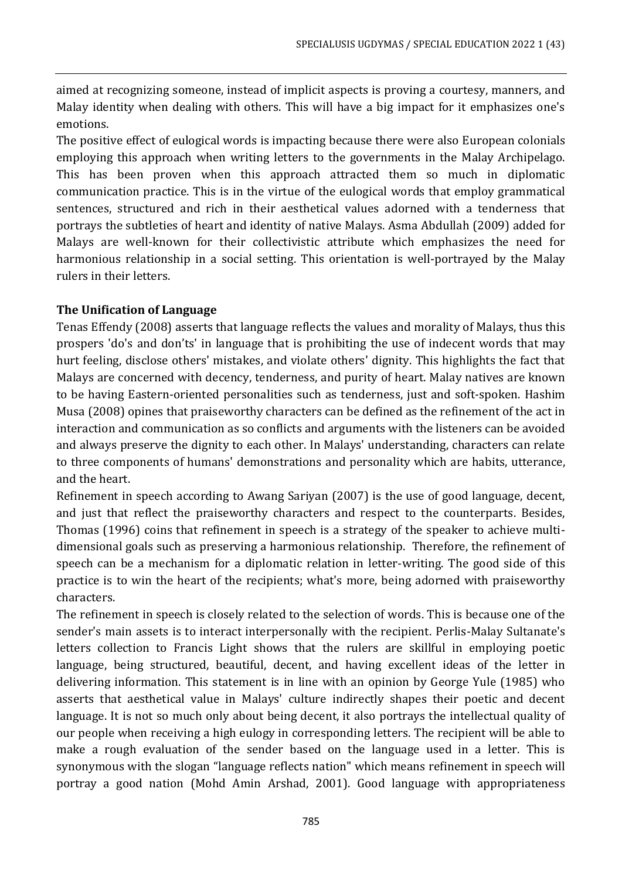aimed at recognizing someone, instead of implicit aspects is proving a courtesy, manners, and Malay identity when dealing with others. This will have a big impact for it emphasizes one's emotions.

The positive effect of eulogical words is impacting because there were also European colonials employing this approach when writing letters to the governments in the Malay Archipelago. This has been proven when this approach attracted them so much in diplomatic communication practice. This is in the virtue of the eulogical words that employ grammatical sentences, structured and rich in their aesthetical values adorned with a tenderness that portrays the subtleties of heart and identity of native Malays. Asma Abdullah (2009) added for Malays are well-known for their collectivistic attribute which emphasizes the need for harmonious relationship in a social setting. This orientation is well-portrayed by the Malay rulers in their letters.

## **The Unification of Language**

Tenas Effendy (2008) asserts that language reflects the values and morality of Malays, thus this prospers 'do's and don'ts' in language that is prohibiting the use of indecent words that may hurt feeling, disclose others' mistakes, and violate others' dignity. This highlights the fact that Malays are concerned with decency, tenderness, and purity of heart. Malay natives are known to be having Eastern-oriented personalities such as tenderness, just and soft-spoken. Hashim Musa (2008) opines that praiseworthy characters can be defined as the refinement of the act in interaction and communication as so conflicts and arguments with the listeners can be avoided and always preserve the dignity to each other. In Malays' understanding, characters can relate to three components of humans' demonstrations and personality which are habits, utterance, and the heart.

Refinement in speech according to Awang Sariyan (2007) is the use of good language, decent, and just that reflect the praiseworthy characters and respect to the counterparts. Besides, Thomas (1996) coins that refinement in speech is a strategy of the speaker to achieve multidimensional goals such as preserving a harmonious relationship. Therefore, the refinement of speech can be a mechanism for a diplomatic relation in letter-writing. The good side of this practice is to win the heart of the recipients; what's more, being adorned with praiseworthy characters.

The refinement in speech is closely related to the selection of words. This is because one of the sender's main assets is to interact interpersonally with the recipient. Perlis-Malay Sultanate's letters collection to Francis Light shows that the rulers are skillful in employing poetic language, being structured, beautiful, decent, and having excellent ideas of the letter in delivering information. This statement is in line with an opinion by George Yule (1985) who asserts that aesthetical value in Malays' culture indirectly shapes their poetic and decent language. It is not so much only about being decent, it also portrays the intellectual quality of our people when receiving a high eulogy in corresponding letters. The recipient will be able to make a rough evaluation of the sender based on the language used in a letter. This is synonymous with the slogan "language reflects nation" which means refinement in speech will portray a good nation (Mohd Amin Arshad, 2001). Good language with appropriateness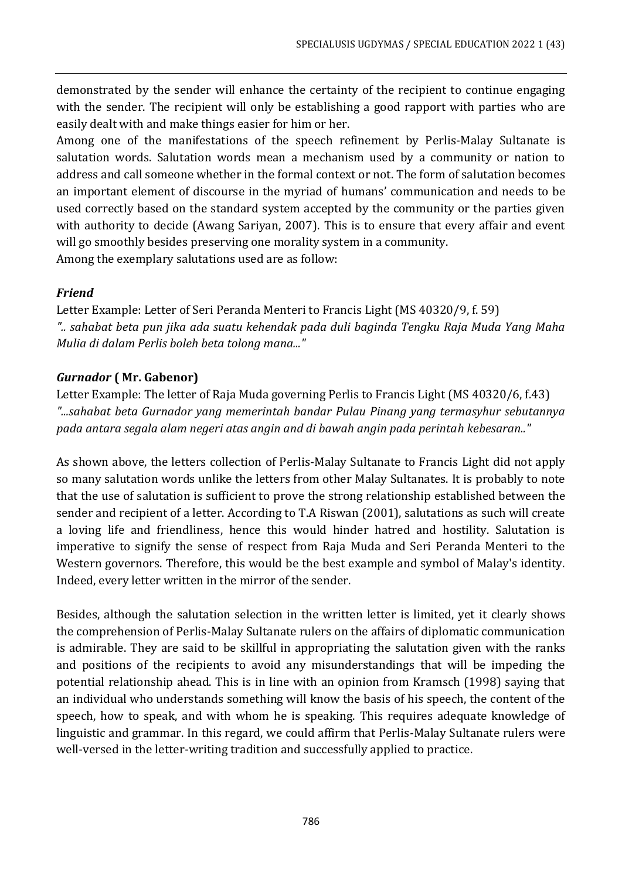demonstrated by the sender will enhance the certainty of the recipient to continue engaging with the sender. The recipient will only be establishing a good rapport with parties who are easily dealt with and make things easier for him or her.

Among one of the manifestations of the speech refinement by Perlis-Malay Sultanate is salutation words. Salutation words mean a mechanism used by a community or nation to address and call someone whether in the formal context or not. The form of salutation becomes an important element of discourse in the myriad of humans' communication and needs to be used correctly based on the standard system accepted by the community or the parties given with authority to decide (Awang Sariyan, 2007). This is to ensure that every affair and event will go smoothly besides preserving one morality system in a community. Among the exemplary salutations used are as follow:

# *Friend*

Letter Example: Letter of Seri Peranda Menteri to Francis Light (MS 40320/9, f. 59) *".. sahabat beta pun jika ada suatu kehendak pada duli baginda Tengku Raja Muda Yang Maha Mulia di dalam Perlis boleh beta tolong mana..."* 

# *Gurnador* **( Mr. Gabenor)**

Letter Example: The letter of Raja Muda governing Perlis to Francis Light (MS 40320/6, f.43) *"...sahabat beta Gurnador yang memerintah bandar Pulau Pinang yang termasyhur sebutannya pada antara segala alam negeri atas angin and di bawah angin pada perintah kebesaran.."*

As shown above, the letters collection of Perlis-Malay Sultanate to Francis Light did not apply so many salutation words unlike the letters from other Malay Sultanates. It is probably to note that the use of salutation is sufficient to prove the strong relationship established between the sender and recipient of a letter. According to T.A Riswan (2001), salutations as such will create a loving life and friendliness, hence this would hinder hatred and hostility. Salutation is imperative to signify the sense of respect from Raja Muda and Seri Peranda Menteri to the Western governors. Therefore, this would be the best example and symbol of Malay's identity. Indeed, every letter written in the mirror of the sender.

Besides, although the salutation selection in the written letter is limited, yet it clearly shows the comprehension of Perlis-Malay Sultanate rulers on the affairs of diplomatic communication is admirable. They are said to be skillful in appropriating the salutation given with the ranks and positions of the recipients to avoid any misunderstandings that will be impeding the potential relationship ahead. This is in line with an opinion from Kramsch (1998) saying that an individual who understands something will know the basis of his speech, the content of the speech, how to speak, and with whom he is speaking. This requires adequate knowledge of linguistic and grammar. In this regard, we could affirm that Perlis-Malay Sultanate rulers were well-versed in the letter-writing tradition and successfully applied to practice.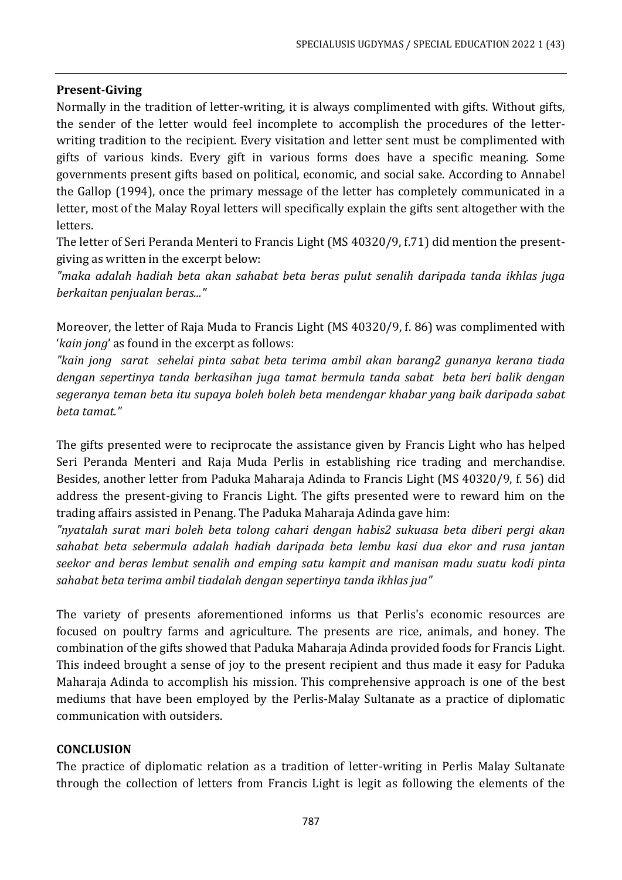## **Present-Giving**

Normally in the tradition of letter-writing, it is always complimented with gifts. Without gifts, the sender of the letter would feel incomplete to accomplish the procedures of the letterwriting tradition to the recipient. Every visitation and letter sent must be complimented with gifts of various kinds. Every gift in various forms does have a specific meaning. Some governments present gifts based on political, economic, and social sake. According to Annabel the Gallop (1994), once the primary message of the letter has completely communicated in a letter, most of the Malay Royal letters will specifically explain the gifts sent altogether with the letters.

The letter of Seri Peranda Menteri to Francis Light (MS 40320/9, f.71) did mention the presentgiving as written in the excerpt below:

*"maka adalah hadiah beta akan sahabat beta beras pulut senalih daripada tanda ikhlas juga berkaitan penjualan beras..."*

Moreover, the letter of Raja Muda to Francis Light (MS 40320/9, f. 86) was complimented with '*kain jong*' as found in the excerpt as follows:

*"kain jong sarat sehelai pinta sabat beta terima ambil akan barang2 gunanya kerana tiada dengan sepertinya tanda berkasihan juga tamat bermula tanda sabat beta beri balik dengan segeranya teman beta itu supaya boleh boleh beta mendengar khabar yang baik daripada sabat beta tamat."*

The gifts presented were to reciprocate the assistance given by Francis Light who has helped Seri Peranda Menteri and Raja Muda Perlis in establishing rice trading and merchandise. Besides, another letter from Paduka Maharaja Adinda to Francis Light (MS 40320/9, f. 56) did address the present-giving to Francis Light. The gifts presented were to reward him on the trading affairs assisted in Penang. The Paduka Maharaja Adinda gave him:

*"nyatalah surat mari boleh beta tolong cahari dengan habis2 sukuasa beta diberi pergi akan sahabat beta sebermula adalah hadiah daripada beta lembu kasi dua ekor and rusa jantan seekor and beras lembut senalih and emping satu kampit and manisan madu suatu kodi pinta sahabat beta terima ambil tiadalah dengan sepertinya tanda ikhlas jua"*

The variety of presents aforementioned informs us that Perlis's economic resources are focused on poultry farms and agriculture. The presents are rice, animals, and honey. The combination of the gifts showed that Paduka Maharaja Adinda provided foods for Francis Light. This indeed brought a sense of joy to the present recipient and thus made it easy for Paduka Maharaja Adinda to accomplish his mission. This comprehensive approach is one of the best mediums that have been employed by the Perlis-Malay Sultanate as a practice of diplomatic communication with outsiders.

#### **CONCLUSION**

The practice of diplomatic relation as a tradition of letter-writing in Perlis Malay Sultanate through the collection of letters from Francis Light is legit as following the elements of the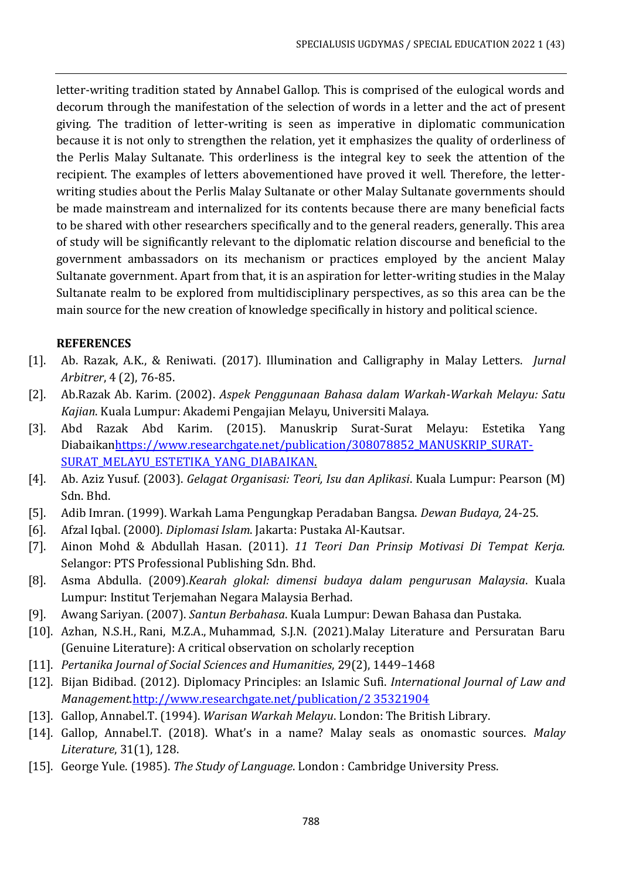letter-writing tradition stated by Annabel Gallop. This is comprised of the eulogical words and decorum through the manifestation of the selection of words in a letter and the act of present giving. The tradition of letter-writing is seen as imperative in diplomatic communication because it is not only to strengthen the relation, yet it emphasizes the quality of orderliness of the Perlis Malay Sultanate. This orderliness is the integral key to seek the attention of the recipient. The examples of letters abovementioned have proved it well. Therefore, the letterwriting studies about the Perlis Malay Sultanate or other Malay Sultanate governments should be made mainstream and internalized for its contents because there are many beneficial facts to be shared with other researchers specifically and to the general readers, generally. This area of study will be significantly relevant to the diplomatic relation discourse and beneficial to the government ambassadors on its mechanism or practices employed by the ancient Malay Sultanate government. Apart from that, it is an aspiration for letter-writing studies in the Malay Sultanate realm to be explored from multidisciplinary perspectives, as so this area can be the main source for the new creation of knowledge specifically in history and political science.

## **REFERENCES**

- [1]. Ab. Razak, A.K., & Reniwati. (2017). Illumination and Calligraphy in Malay Letters. *Jurnal Arbitrer*, 4 (2), 76-85.
- [2]. Ab.Razak Ab. Karim. (2002). *Aspek Penggunaan Bahasa dalam Warkah-Warkah Melayu: Satu Kajian*. Kuala Lumpur: Akademi Pengajian Melayu, Universiti Malaya.
- [3]. Abd Razak Abd Karim. (2015). Manuskrip Surat-Surat Melayu: Estetika Yang Diabaika[nhttps://www.researchgate.net/publication/308078852\\_MANUSKRIP\\_SURAT-](https://www.researchgate.net/publication/308078852_MANUSKRIP_SURAT-SURAT_MELAYU_ESTETIKA_YANG_DIABAIKAN)[SURAT\\_MELAYU\\_ESTETIKA\\_YANG\\_DIABAIKAN.](https://www.researchgate.net/publication/308078852_MANUSKRIP_SURAT-SURAT_MELAYU_ESTETIKA_YANG_DIABAIKAN)
- [4]. Ab. Aziz Yusuf. (2003). *Gelagat Organisasi: Teori, Isu dan Aplikasi*. Kuala Lumpur: Pearson (M) Sdn. Bhd.
- [5]. Adib Imran. (1999). Warkah Lama Pengungkap Peradaban Bangsa. *Dewan Budaya,* 24-25.
- [6]. Afzal Iqbal. (2000). *Diplomasi Islam*. Jakarta: Pustaka Al-Kautsar.
- [7]. Ainon Mohd & Abdullah Hasan. (2011). *11 Teori Dan Prinsip Motivasi Di Tempat Kerja.* Selangor: PTS Professional Publishing Sdn. Bhd.
- [8]. Asma Abdulla. (2009).*Kearah glokal: dimensi budaya dalam pengurusan Malaysia*. Kuala Lumpur: Institut Terjemahan Negara Malaysia Berhad.
- [9]. Awang Sariyan. (2007). *Santun Berbahasa*. Kuala Lumpur: Dewan Bahasa dan Pustaka.
- [10]. [Azhan, N.S.H.,](https://www.scopus.com/authid/detail.uri?authorId=57225077697) [Rani, M.Z.A.,](https://www.scopus.com/authid/detail.uri?authorId=55110982300) [Muhammad, S.J.N.](https://www.scopus.com/authid/detail.uri?authorId=55752583300) (2021).Malay Literature and Persuratan Baru (Genuine Literature): A critical observation on scholarly reception
- [11]. *[Pertanika Journal of Social Sciences and Humanities](https://www.scopus.com/authid/detail.uri?authorId=55752583300#disabled)*, 29(2), 1449–1468
- [12]. Bijan Bidibad. (2012). Diplomacy Principles: an Islamic Sufi. *International Journal of Law and Management.*[http://www.researchgate.net/publication/2 35321904](http://www.researchgate.net/publication/2%2035321904)
- [13]. Gallop, Annabel.T. (1994). *Warisan Warkah Melayu*. London: The British Library.
- [14]. Gallop, Annabel.T. (2018). What's in a name? Malay seals as onomastic sources. *Malay Literature*, 31(1), 128.
- [15]. George Yule. (1985). *The Study of Language*. London : Cambridge University Press.